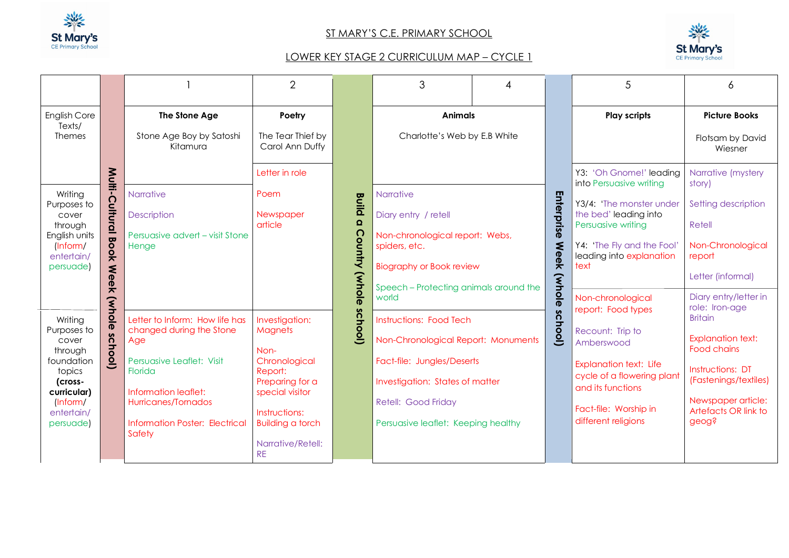

## ST MARY'S C.E. PRIMARY SCHOOL



## LOWER KEY STAGE 2 CURRICULUM MAP – CYCLE 1

|                                                                          |                                                |                                                         | $\overline{2}$                                            |                                                  | 3                                               |             |                                                                | 5                                                  | 6                                              |
|--------------------------------------------------------------------------|------------------------------------------------|---------------------------------------------------------|-----------------------------------------------------------|--------------------------------------------------|-------------------------------------------------|-------------|----------------------------------------------------------------|----------------------------------------------------|------------------------------------------------|
| English Core<br>Texts/                                                   |                                                | The Stone Age                                           | Poetry                                                    |                                                  | <b>Animals</b>                                  |             |                                                                | <b>Play scripts</b>                                | <b>Picture Books</b>                           |
| <b>Themes</b>                                                            |                                                | Stone Age Boy by Satoshi<br>Kitamura                    | The Tear Thief by<br>Carol Ann Duffy                      |                                                  | Charlotte's Web by E.B White                    |             |                                                                |                                                    | Flotsam by David<br>Wiesner                    |
|                                                                          | Multi-C                                        |                                                         | Letter in role                                            |                                                  |                                                 |             |                                                                | Y3: 'Oh Gnome!' leading<br>into Persuasive writing | Narrative (mystery<br>story)                   |
| Writing<br>Purposes to                                                   |                                                | <b>Narrative</b>                                        | Poem                                                      | <b>Build</b>                                     | <b>Narrative</b>                                |             |                                                                | Y3/4: 'The monster under                           | Setting description                            |
| cover<br>through<br>English units<br>[Inform/<br>entertain/<br>persuade) | ultural                                        | Description<br>Persuasive advert - visit Stone<br>Henge | Newspaper<br>$\Omega$<br>article<br><b>Country (whole</b> | Enterprise<br>Diary entry / retell               |                                                 |             | the bed' leading into<br>Persuasive writing                    | Retell                                             |                                                |
|                                                                          | <b>Book</b>                                    |                                                         |                                                           | Non-chronological report: Webs,<br>spiders, etc. |                                                 | <b>Meek</b> | Y4: 'The Fly and the Fool'<br>leading into explanation<br>text | Non-Chronological<br>report                        |                                                |
|                                                                          | $\leq$<br>$\boldsymbol{\Phi}$<br>$\ddot{\Phi}$ |                                                         |                                                           |                                                  | <b>Biography or Book review</b>                 |             |                                                                |                                                    | Letter (informal)                              |
|                                                                          | $\bar{\bm{\pi}}$                               |                                                         |                                                           |                                                  | Speech - Protecting animals around the<br>world |             | (whole                                                         | Non-chronological                                  | Diary entry/letter in<br>role: Iron-age        |
| (whole<br>Writing                                                        |                                                | Letter to Inform: How life has                          | Investigation:                                            | school)                                          | <b>Instructions: Food Tech</b>                  |             | δ                                                              | report: Food types                                 | <b>Britain</b>                                 |
| Purposes to<br>cover<br>through                                          | $\boldsymbol{\omega}$<br>ichool)               | changed during the Stone<br>Age                         | <b>Magnets</b><br>Non-                                    |                                                  | Non-Chronological Report: Monuments             |             | <b>hool</b>                                                    | Recount: Trip to<br>Amberswood                     | <b>Explanation text:</b><br><b>Food chains</b> |
| foundation<br>topics                                                     |                                                | Persuasive Leaflet: Visit<br>Florida                    | Chronological<br>Report:                                  | Fact-file: Jungles/Deserts                       |                                                 |             | <b>Explanation text: Life</b><br>cycle of a flowering plant    | Instructions: DT                                   |                                                |
| (cross-<br>curricular)                                                   |                                                | Information leaflet:                                    | Preparing for a<br>special visitor                        |                                                  | Investigation: States of matter                 |             |                                                                | and its functions                                  | (Fastenings/textiles)                          |
| lnform/<br>entertain/                                                    |                                                | Hurricanes/Tornados                                     | Instructions:                                             |                                                  | Retell: Good Friday                             |             |                                                                | Fact-file: Worship in                              | Newspaper article:<br>Artefacts OR link to     |
| persuade)                                                                |                                                | <b>Information Poster: Electrical</b><br>Safety         | <b>Building a torch</b>                                   |                                                  | Persuasive leaflet: Keeping healthy             |             |                                                                | different religions                                | geog?                                          |
|                                                                          |                                                |                                                         | Narrative/Retell:<br><b>RE</b>                            |                                                  |                                                 |             |                                                                |                                                    |                                                |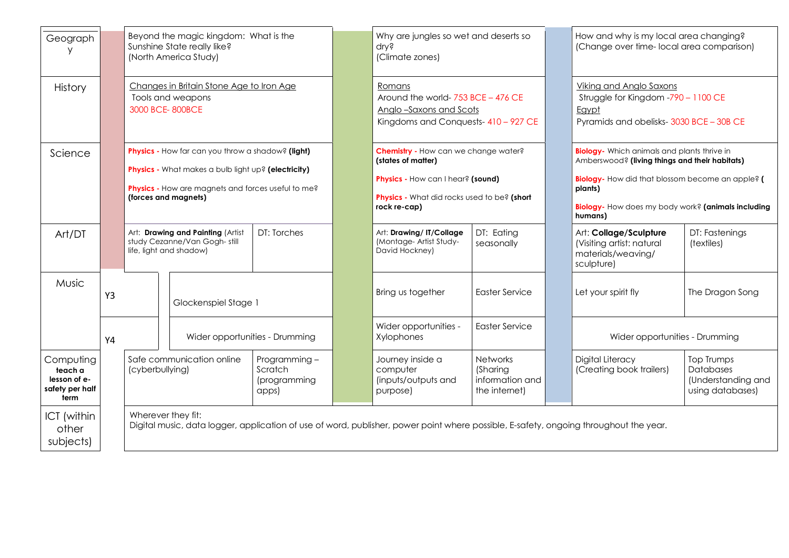| Geograph                                                        |           |                                                                                                                                                             | Beyond the magic kingdom: What is the<br>Sunshine State really like?<br>(North America Study)                                                                                          |                                                  |  | Why are jungles so wet and deserts so<br>dry?<br>(Climate zones)                                                                                               |                                                                 |  | How and why is my local area changing?<br>(Change over time-local area comparison)                                                                                                                                                                  |                                                                          |  |
|-----------------------------------------------------------------|-----------|-------------------------------------------------------------------------------------------------------------------------------------------------------------|----------------------------------------------------------------------------------------------------------------------------------------------------------------------------------------|--------------------------------------------------|--|----------------------------------------------------------------------------------------------------------------------------------------------------------------|-----------------------------------------------------------------|--|-----------------------------------------------------------------------------------------------------------------------------------------------------------------------------------------------------------------------------------------------------|--------------------------------------------------------------------------|--|
| <b>History</b>                                                  |           | 3000 BCE-800BCE                                                                                                                                             | Changes in Britain Stone Age to Iron Age<br>Tools and weapons                                                                                                                          |                                                  |  | Romans<br>Around the world- 753 BCE - 476 CE<br>Anglo-Saxons and Scots<br>Kingdoms and Conquests-410 - 927 CE                                                  |                                                                 |  | Viking and Anglo Saxons<br>Struggle for Kingdom -790 - 1100 CE<br>Egypt<br>Pyramids and obelisks-3030 BCE - 30B CE                                                                                                                                  |                                                                          |  |
| Science                                                         |           |                                                                                                                                                             | Physics - How far can you throw a shadow? (light)<br>Physics - What makes a bulb light up? (electricity)<br>Physics - How are magnets and forces useful to me?<br>(forces and magnets) |                                                  |  | Chemistry - How can we change water?<br>(states of matter)<br>Physics - How can I hear? (sound)<br>Physics - What did rocks used to be? (short<br>rock re-cap) |                                                                 |  | <b>Biology</b> - Which animals and plants thrive in<br>Amberswood? (living things and their habitats)<br><b>Biology-</b> How did that blossom become an apple? (<br>plants)<br><b>Biology-</b> How does my body work? (animals including<br>humans) |                                                                          |  |
| Art/DT                                                          |           | Art: Drawing and Painting (Artist<br>study Cezanne/Van Gogh-still<br>life, light and shadow)                                                                |                                                                                                                                                                                        | DT: Torches                                      |  | Art: Drawing/IT/Collage<br>(Montage- Artist Study-<br>David Hockney)                                                                                           | DT: Eating<br>seasonally                                        |  | Art: Collage/Sculpture<br>(Visiting artist: natural<br>materials/weaving/<br>sculpture)                                                                                                                                                             | DT: Fastenings<br>(textiles)                                             |  |
| Music                                                           | Y3        | Glockenspiel Stage 1                                                                                                                                        |                                                                                                                                                                                        |                                                  |  | Bring us together                                                                                                                                              | <b>Easter Service</b>                                           |  | Let your spirit fly                                                                                                                                                                                                                                 | The Dragon Song                                                          |  |
|                                                                 | <b>Y4</b> |                                                                                                                                                             | Wider opportunities - Drumming                                                                                                                                                         |                                                  |  | Wider opportunities -<br>Xylophones                                                                                                                            | <b>Easter Service</b>                                           |  | Wider opportunities - Drumming                                                                                                                                                                                                                      |                                                                          |  |
| Computing<br>teach a<br>lesson of e-<br>safety per half<br>term |           | Safe communication online<br>(cyberbullying)                                                                                                                |                                                                                                                                                                                        | Programming-<br>Scratch<br>(programming<br>apps) |  | Journey inside a<br>computer<br>(inputs/outputs and<br>purpose)                                                                                                | <b>Networks</b><br>(Sharing<br>information and<br>the internet) |  | Digital Literacy<br>(Creating book trailers)                                                                                                                                                                                                        | Top Trumps<br><b>Databases</b><br>(Understanding and<br>using databases) |  |
| ICT (within<br>other<br>subjects)                               |           | Wherever they fit:<br>Digital music, data logger, application of use of word, publisher, power point where possible, E-safety, ongoing throughout the year. |                                                                                                                                                                                        |                                                  |  |                                                                                                                                                                |                                                                 |  |                                                                                                                                                                                                                                                     |                                                                          |  |